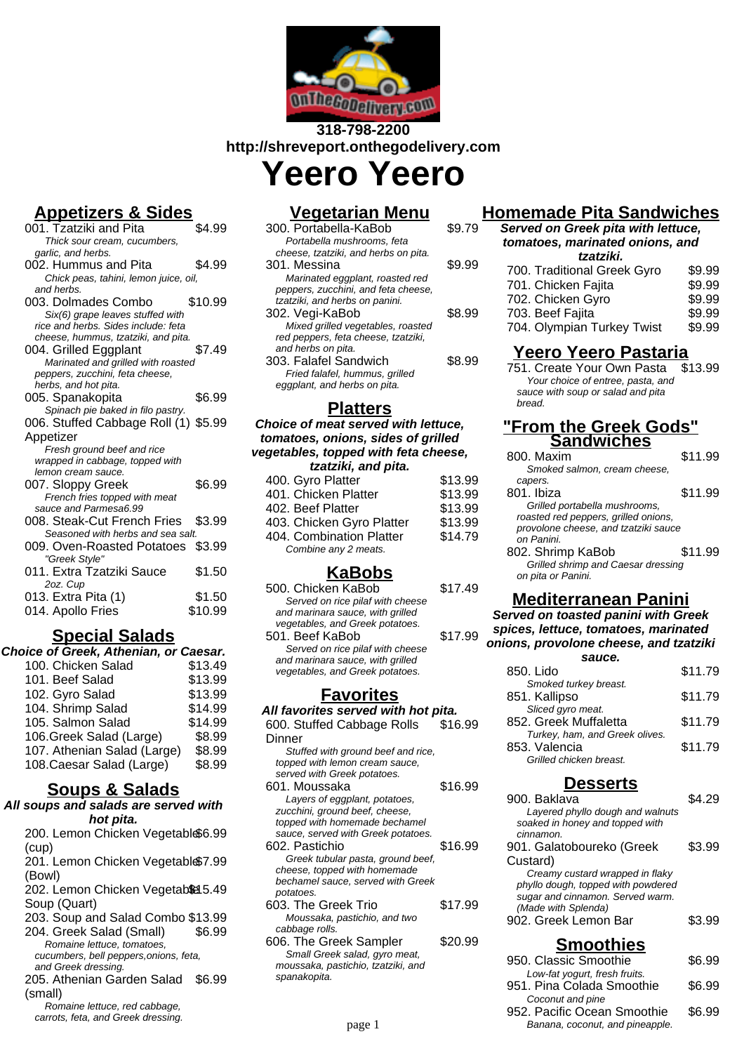

# **318-798-2200 http://shreveport.onthegodelivery.com Yeero Yeero**

# **Appetizers & Sides**

| 001. Tzatziki and Pita                | \$4.99  |
|---------------------------------------|---------|
| Thick sour cream, cucumbers,          |         |
| garlic, and herbs.                    |         |
| 002. Hummus and Pita                  | \$4.99  |
| Chick peas, tahini, lemon juice, oil, |         |
| and herbs.                            |         |
| 003. Dolmades Combo                   | \$10.99 |
| Six(6) grape leaves stuffed with      |         |
| rice and herbs. Sides include: feta   |         |
| cheese, hummus, tzatziki, and pita.   |         |
| 004. Grilled Eggplant                 | \$7.49  |
| Marinated and grilled with roasted    |         |
| peppers, zucchini, feta cheese,       |         |
| herbs, and hot pita.                  |         |
| 005. Spanakopita                      | \$6.99  |
| Spinach pie baked in filo pastry.     |         |
| 006. Stuffed Cabbage Roll (1) \$5.99  |         |
| Appetizer                             |         |
| Fresh ground beef and rice            |         |
| wrapped in cabbage, topped with       |         |
| lemon cream sauce.                    |         |
| 007. Sloppy Greek                     | \$6.99  |
| French fries topped with meat         |         |
| sauce and Parmesa6.99                 |         |
| 008. Steak-Cut French Fries           | \$3.99  |
| Seasoned with herbs and sea salt.     |         |
| 009. Oven-Roasted Potatoes            | \$3.99  |
| "Greek Style"                         |         |
| 011. Extra Tzatziki Sauce             | \$1.50  |
| 2oz. Cup                              |         |
| 013. Extra Pita (1)                   | \$1.50  |
|                                       |         |
| 014. Apollo Fries                     | \$10.99 |

### **Special Salads**

| \$13.49 |
|---------|
|         |
| \$13.99 |
| \$13.99 |
| \$14.99 |
| \$14.99 |
| \$8.99  |
| \$8.99  |
| \$8.99  |
|         |

#### **Soups & Salads**

**All soups and salads are served with hot pita.** 200. Lemon Chicken Vegetabl \$6.99

- (cup) 201. Lemon Chicken Vegetabl \$7.99 (Bowl) 202. Lemon Chicken Vegetab& 5.49 Soup (Quart)
- 203. Soup and Salad Combo \$13.99 204. Greek Salad (Small) \$6.99
- Romaine lettuce, tomatoes, cucumbers, bell peppers,onions, feta, and Greek dressing.
- 205. Athenian Garden Salad \$6.99 (small)
- Romaine lettuce, red cabbage, carrots, feta, and Greek dressing.

## **Vegetarian Menu**

| 300. Portabella-KaBob                | S9 79  |
|--------------------------------------|--------|
| Portabella mushrooms, feta           |        |
| cheese, tzatziki, and herbs on pita. |        |
| 301. Messina                         | \$9.99 |
| Marinated eggplant, roasted red      |        |
| peppers, zucchini, and feta cheese,  |        |
| tzatziki, and herbs on panini.       |        |
| 302. Vegi-KaBob                      | \$8.99 |
| Mixed grilled vegetables, roasted    |        |
| red peppers, feta cheese, tzatziki,  |        |
| and herbs on pita.                   |        |
| 303. Falafel Sandwich                | S8.99  |
| Fried falafel, hummus, grilled       |        |
| eggplant, and herbs on pita.         |        |
|                                      |        |

### **Platters**

#### **Choice of meat served with lettuce, tomatoes, onions, sides of grilled vegetables, topped with feta cheese, tzatziki, and pita.**  $400 \, \text{Gyr}$  Platter  $\sim 413.99$

| <b>TUU. UYIU I KUUL</b>   | ⊎ ⊓ ບ.ບບ |
|---------------------------|----------|
| 401. Chicken Platter      | \$13.99  |
| 402. Beef Platter         | \$13.99  |
| 403. Chicken Gyro Platter | \$13.99  |
| 404. Combination Platter  | \$14.79  |
| Combine any 2 meats.      |          |
|                           |          |

# **KaBobs**

| 500. Chicken KaBob               | \$17.49 |
|----------------------------------|---------|
| Served on rice pilaf with cheese |         |
| and marinara sauce, with grilled |         |
| vegetables, and Greek potatoes.  |         |
| 501. Beef KaBob                  | \$17.99 |
| Served on rice pilaf with cheese |         |
| and marinara sauce, with grilled |         |
| vegetables, and Greek potatoes.  |         |
|                                  |         |
|                                  |         |

#### **Favorites**

**All favorites served with hot pita.** 600. Stuffed Cabbage Rolls **Dinner** \$16.99 Stuffed with ground beef and rice. topped with lemon cream sauce, served with Greek potatoes. 601. Moussaka \$16.99 Layers of eggplant, potatoes, zucchini, ground beef, cheese, topped with homemade bechamel sauce, served with Greek potatoes. 602. Pastichio  $$16.99$ Greek tubular pasta, ground beef, cheese, topped with homemade bechamel sauce, served with Greek potatoes. 603. The Greek Trio \$17.99 Moussaka, pastichio, and two cabbage rolls. 606. The Greek Sampler \$20.99 Small Greek salad, gyro meat, moussaka, pastichio, tzatziki, and spanakopita.

# **Homemade Pita Sandwiches**

| 79 | Served on Greek pita with lettuce,<br>tomatoes, marinated onions, and |        |  |
|----|-----------------------------------------------------------------------|--------|--|
|    | tzatziki.                                                             |        |  |
| 99 | 700. Traditional Greek Gyro                                           | \$9.99 |  |
|    | 701. Chicken Fajita                                                   | \$9.99 |  |
|    | 702. Chicken Gyro                                                     | \$9.99 |  |
| 99 | 703. Beef Fajita                                                      | \$9.99 |  |
|    | 704. Olympian Turkey Twist                                            | \$9.99 |  |
|    |                                                                       |        |  |

#### **Yeero Yeero Pastaria**

751. Create Your Own Pasta \$13.99 Your choice of entree, pasta, and sauce with soup or salad and pita bread.

#### **"From the Greek Gods" Sandwiches**

| 800. Maxim                           | \$11.99 |
|--------------------------------------|---------|
| Smoked salmon, cream cheese.         |         |
| capers.                              |         |
| 801. Ibiza                           | \$11.99 |
| Grilled portabella mushrooms,        |         |
| roasted red peppers, grilled onions, |         |
| provolone cheese, and tzatziki sauce |         |
| on Panini.                           |         |
| 802. Shrimp KaBob                    | \$11.99 |
| Grilled shrimp and Caesar dressing   |         |
| on pita or Panini.                   |         |

# **Mediterranean Panini**

#### **Served on toasted panini with Greek spices, lettuce, tomatoes, marinated onions, provolone cheese, and tzatziki**

| sauce.                         |         |
|--------------------------------|---------|
| 850. Lido                      | \$11.79 |
| Smoked turkey breast.          |         |
| 851. Kallipso                  | \$11.79 |
| Sliced gyro meat.              |         |
| 852. Greek Muffaletta          | \$11.79 |
| Turkey, ham, and Greek olives. |         |
| 853. Valencia                  | \$11.79 |
| Grilled chicken breast.        |         |

## **Desserts**

| 900. Baklava                                | \$4.29 |
|---------------------------------------------|--------|
| Layered phyllo dough and walnuts            |        |
| soaked in honey and topped with             |        |
| cinnamon.                                   |        |
| 901. Galatoboureko (Greek                   | \$3.99 |
| Custard)                                    |        |
| Creamy custard wrapped in flaky             |        |
| phyllo dough, topped with powdered          |        |
| sugar and cinnamon. Served warm.            |        |
| (Made with Splenda)<br>902. Greek Lemon Bar |        |
|                                             | \$3.99 |
|                                             |        |
| <b>Smoothies</b>                            |        |
| 950. Classic Smoothie                       | \$6.99 |
| Low-fat yogurt, fresh fruits.               |        |
| 951. Pina Colada Smoothie                   | \$6.99 |
| Coconut and pine                            |        |
| 952 Pacific Ocean Smoothie                  | ፍନ QQ  |